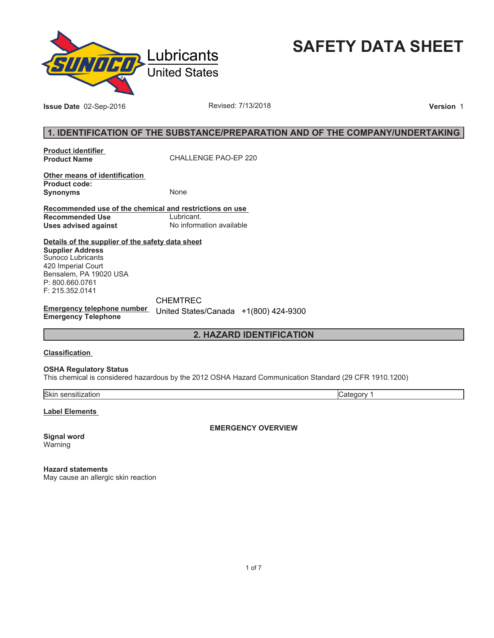

**SAFETY DATA SHEET**

**Issue Date** 02-Sep-2016 **Revised: 7/13/2018 Version** 1

# **1. IDENTIFICATION OF THE SUBSTANCE/PREPARATION AND OF THE COMPANY/UNDERTAKING**

**Product identifier** 

**Product Name** CHALLENGE PAO-EP 220

**Other means of identification Product code: Synonyms** None

**Recommended use of the chemical and restrictions on use Recommended Use<br>Uses advised against Uses advised against** No information available

**Details of the supplier of the safety data sheet Supplier Address** Sunoco Lubricants 420 Imperial Court Bensalem, PA 19020 USA P: 800.660.0761 F: 215.352.0141

**Emergency telephone number**  United States/Canada +1(800) 424-9300**Emergency Telephone** CHEMTREC

**2. HAZARD IDENTIFICATION**

#### **Classification**

**OSHA Regulatory Status**

This chemical is considered hazardous by the 2012 OSHA Hazard Communication Standard (29 CFR 1910.1200)

Skin sensitization Category 1

**Label Elements** 

**EMERGENCY OVERVIEW**

**Signal word** Warning

**Hazard statements** May cause an allergic skin reaction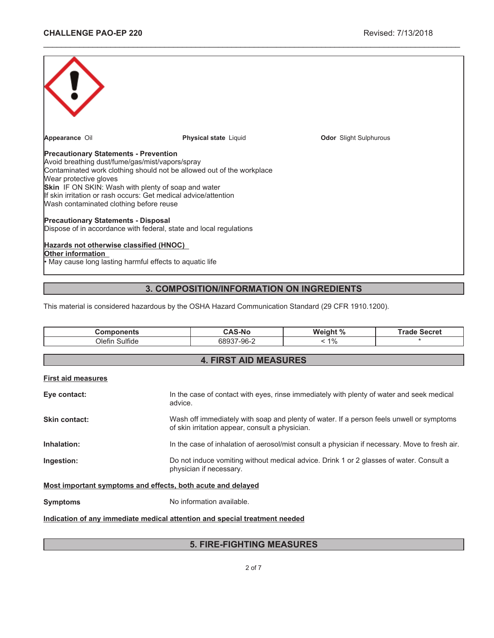| Appearance Oil                                                                                                                                                                                                                                                                                                                                                                                                               | <b>Physical state Liquid</b> | <b>Odor</b> Slight Sulphurous |  |
|------------------------------------------------------------------------------------------------------------------------------------------------------------------------------------------------------------------------------------------------------------------------------------------------------------------------------------------------------------------------------------------------------------------------------|------------------------------|-------------------------------|--|
| <b>Precautionary Statements - Prevention</b><br>Avoid breathing dust/fume/gas/mist/vapors/spray<br>Contaminated work clothing should not be allowed out of the workplace<br>Wear protective gloves<br><b>Skin</b> IF ON SKIN: Wash with plenty of soap and water<br>If skin irritation or rash occurs: Get medical advice/attention<br>Wash contaminated clothing before reuse<br><b>Precautionary Statements - Disposal</b> |                              |                               |  |
| Dispose of in accordance with federal, state and local regulations                                                                                                                                                                                                                                                                                                                                                           |                              |                               |  |
| Hazards not otherwise classified (HNOC)<br>Other information<br>• May cause long lasting harmful effects to aquatic life                                                                                                                                                                                                                                                                                                     |                              |                               |  |

\_\_\_\_\_\_\_\_\_\_\_\_\_\_\_\_\_\_\_\_\_\_\_\_\_\_\_\_\_\_\_\_\_\_\_\_\_\_\_\_\_\_\_\_\_\_\_\_\_\_\_\_\_\_\_\_\_\_\_\_\_\_\_\_\_\_\_\_\_\_\_\_\_\_\_\_\_\_\_\_\_\_\_\_\_\_\_\_\_\_\_\_\_

# **3. COMPOSITION/INFORMATION ON INGREDIENTS**

This material is considered hazardous by the OSHA Hazard Communication Standard (29 CFR 1910.1200).

| <b>Components</b>                                                          | <b>CAS-No</b>                                                                                                                               | Weight % | <b>Trade Secret</b> |
|----------------------------------------------------------------------------|---------------------------------------------------------------------------------------------------------------------------------------------|----------|---------------------|
| Olefin Sulfide                                                             | 68937-96-2                                                                                                                                  | $< 1\%$  |                     |
|                                                                            |                                                                                                                                             |          |                     |
|                                                                            | <b>4. FIRST AID MEASURES</b>                                                                                                                |          |                     |
| <b>First aid measures</b>                                                  |                                                                                                                                             |          |                     |
| Eye contact:<br>advice.                                                    | In the case of contact with eyes, rinse immediately with plenty of water and seek medical                                                   |          |                     |
| Skin contact:                                                              | Wash off immediately with soap and plenty of water. If a person feels unwell or symptoms<br>of skin irritation appear, consult a physician. |          |                     |
| Inhalation:                                                                | In the case of inhalation of aerosol/mist consult a physician if necessary. Move to fresh air.                                              |          |                     |
| Ingestion:                                                                 | Do not induce vomiting without medical advice. Drink 1 or 2 glasses of water. Consult a<br>physician if necessary.                          |          |                     |
| Most important symptoms and effects, both acute and delayed                |                                                                                                                                             |          |                     |
| <b>Symptoms</b>                                                            | No information available.                                                                                                                   |          |                     |
| Indication of any immediate medical attention and special treatment needed |                                                                                                                                             |          |                     |

# **5. FIRE-FIGHTING MEASURES**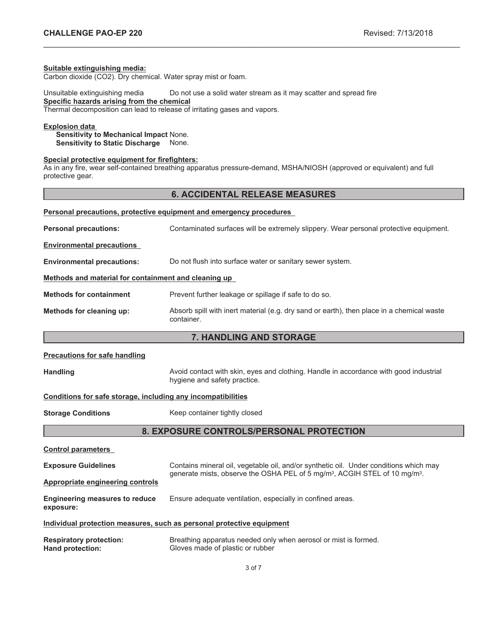#### **Suitable extinguishing media:**

Carbon dioxide (CO2). Dry chemical. Water spray mist or foam.

Unsuitable extinguishing media Do not use a solid water stream as it may scatter and spread fire **Specific hazards arising from the chemical**

Thermal decomposition can lead to release of irritating gases and vapors.

# **Explosion data**

**Sensitivity to Mechanical Impact** None. **Sensitivity to Static Discharge** None.

## **Special protective equipment for firefighters:**

As in any fire, wear self-contained breathing apparatus pressure-demand, MSHA/NIOSH (approved or equivalent) and full protective gear.

## **6. ACCIDENTAL RELEASE MEASURES**

\_\_\_\_\_\_\_\_\_\_\_\_\_\_\_\_\_\_\_\_\_\_\_\_\_\_\_\_\_\_\_\_\_\_\_\_\_\_\_\_\_\_\_\_\_\_\_\_\_\_\_\_\_\_\_\_\_\_\_\_\_\_\_\_\_\_\_\_\_\_\_\_\_\_\_\_\_\_\_\_\_\_\_\_\_\_\_\_\_\_\_\_\_

| Personal precautions, protective equipment and emergency procedures |                                                                                                         |  |
|---------------------------------------------------------------------|---------------------------------------------------------------------------------------------------------|--|
| <b>Personal precautions:</b>                                        | Contaminated surfaces will be extremely slippery. Wear personal protective equipment.                   |  |
| <b>Environmental precautions</b>                                    |                                                                                                         |  |
| <b>Environmental precautions:</b>                                   | Do not flush into surface water or sanitary sewer system.                                               |  |
| Methods and material for containment and cleaning up                |                                                                                                         |  |
| <b>Methods for containment</b>                                      | Prevent further leakage or spillage if safe to do so.                                                   |  |
| Methods for cleaning up:                                            | Absorb spill with inert material (e.g. dry sand or earth), then place in a chemical waste<br>container. |  |

# **7. HANDLING AND STORAGE**

| <b>Precautions for safe handling</b> |  |
|--------------------------------------|--|
|--------------------------------------|--|

Handling **Handling Avoid contact with skin, eyes and clothing. Handle in accordance with good industrial** hygiene and safety practice.

#### **Conditions for safe storage, including any incompatibilities**

**Storage Conditions** Keep container tightly closed

# **8. EXPOSURE CONTROLS/PERSONAL PROTECTION**

| <b>Control parameters</b>                          |                                                                                                                                                                                             |
|----------------------------------------------------|---------------------------------------------------------------------------------------------------------------------------------------------------------------------------------------------|
| <b>Exposure Guidelines</b>                         | Contains mineral oil, vegetable oil, and/or synthetic oil. Under conditions which may<br>generate mists, observe the OSHA PEL of 5 mg/m <sup>3</sup> , ACGIH STEL of 10 mg/m <sup>3</sup> . |
| Appropriate engineering controls                   |                                                                                                                                                                                             |
| <b>Engineering measures to reduce</b><br>exposure: | Ensure adequate ventilation, especially in confined areas.                                                                                                                                  |
|                                                    | Individual protection measures, such as personal protective equipment                                                                                                                       |
| Doeniratoru nrotoetion:                            | Broathing apparatus pooded only when aerosal or mist is formed                                                                                                                              |

**Respiratory protection:** Breathing apparatus needed only when aerosol or mist is formed. **Hand protection:** Gloves made of plastic or rubber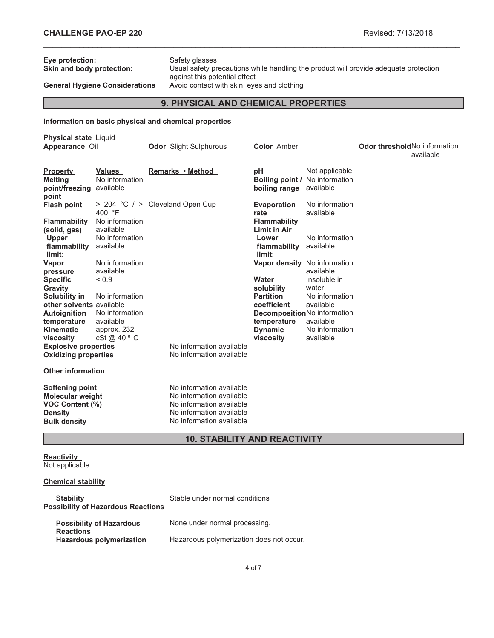| Eye protection:<br>Skin and body protection:                                                                                                                                                                                                                                                                                                                                                           | <b>General Hygiene Considerations</b>                                                                                                                                      | Safety glasses<br>Usual safety precautions while handling the product will provide adequate protection<br>against this potential effect<br>Avoid contact with skin, eyes and clothing |                                                                                                                                                                                       |                                                                                                                                                                                                             |                                      |           |
|--------------------------------------------------------------------------------------------------------------------------------------------------------------------------------------------------------------------------------------------------------------------------------------------------------------------------------------------------------------------------------------------------------|----------------------------------------------------------------------------------------------------------------------------------------------------------------------------|---------------------------------------------------------------------------------------------------------------------------------------------------------------------------------------|---------------------------------------------------------------------------------------------------------------------------------------------------------------------------------------|-------------------------------------------------------------------------------------------------------------------------------------------------------------------------------------------------------------|--------------------------------------|-----------|
|                                                                                                                                                                                                                                                                                                                                                                                                        |                                                                                                                                                                            | 9. PHYSICAL AND CHEMICAL PROPERTIES                                                                                                                                                   |                                                                                                                                                                                       |                                                                                                                                                                                                             |                                      |           |
|                                                                                                                                                                                                                                                                                                                                                                                                        |                                                                                                                                                                            | Information on basic physical and chemical properties                                                                                                                                 |                                                                                                                                                                                       |                                                                                                                                                                                                             |                                      |           |
|                                                                                                                                                                                                                                                                                                                                                                                                        |                                                                                                                                                                            |                                                                                                                                                                                       |                                                                                                                                                                                       |                                                                                                                                                                                                             |                                      |           |
| <b>Physical state Liquid</b><br>Appearance Oil                                                                                                                                                                                                                                                                                                                                                         |                                                                                                                                                                            | <b>Odor</b> Slight Sulphurous                                                                                                                                                         | <b>Color</b> Amber                                                                                                                                                                    |                                                                                                                                                                                                             | <b>Odor threshold No information</b> | available |
| <b>Property</b><br><b>Melting</b><br>point/freezing available<br>point                                                                                                                                                                                                                                                                                                                                 | Values<br>No information                                                                                                                                                   | Remarks • Method                                                                                                                                                                      | рH<br>boiling range available                                                                                                                                                         | Not applicable<br><b>Boiling point / No information</b>                                                                                                                                                     |                                      |           |
| <b>Flash point</b>                                                                                                                                                                                                                                                                                                                                                                                     | > 204 °C / > Cleveland Open Cup<br>400 $\degree$ F                                                                                                                         |                                                                                                                                                                                       | <b>Evaporation</b><br>rate                                                                                                                                                            | No information<br>available                                                                                                                                                                                 |                                      |           |
| <b>Flammability</b><br>(solid, gas)<br><b>Upper</b><br>flammability available<br>limit:<br>Vapor<br>pressure<br><b>Specific</b><br>Gravity<br>Solubility in<br>other solvents available<br><b>Autoignition</b><br>temperature<br><b>Kinematic</b><br>viscosity<br><b>Explosive properties</b><br><b>Oxidizing properties</b><br><b>Other information</b><br>Softening point<br><b>Molecular weight</b> | No information<br>available<br>No information<br>No information<br>available<br>${}_{0.9}$<br>No information<br>No information<br>available<br>approx. 232<br>cSt @ 40 ° C | No information available<br>No information available<br>No information available<br>No information available                                                                          | <b>Flammability</b><br><b>Limit in Air</b><br>Lower<br>flammability<br>limit:<br>Water<br>solubility<br><b>Partition</b><br>coefficient<br>temperature<br><b>Dynamic</b><br>viscosity | No information<br>available<br>Vapor density No information<br>available<br>Insoluble in<br>water<br>No information<br>available<br>DecompositionNo information<br>available<br>No information<br>available |                                      |           |
| VOC Content (%)<br><b>Density</b><br><b>Bulk density</b>                                                                                                                                                                                                                                                                                                                                               |                                                                                                                                                                            | No information available<br>No information available<br>No information available                                                                                                      |                                                                                                                                                                                       |                                                                                                                                                                                                             |                                      |           |
|                                                                                                                                                                                                                                                                                                                                                                                                        |                                                                                                                                                                            | <b>10. STABILITY AND REACTIVITY</b>                                                                                                                                                   |                                                                                                                                                                                       |                                                                                                                                                                                                             |                                      |           |

\_\_\_\_\_\_\_\_\_\_\_\_\_\_\_\_\_\_\_\_\_\_\_\_\_\_\_\_\_\_\_\_\_\_\_\_\_\_\_\_\_\_\_\_\_\_\_\_\_\_\_\_\_\_\_\_\_\_\_\_\_\_\_\_\_\_\_\_\_\_\_\_\_\_\_\_\_\_\_\_\_\_\_\_\_\_\_\_\_\_\_\_\_

#### **Reactivity** Not applicable

# **Chemical stability**

| <b>Stability</b><br><b>Possibility of Hazardous Reactions</b> | Stable under normal conditions           |
|---------------------------------------------------------------|------------------------------------------|
| <b>Possibility of Hazardous</b><br><b>Reactions</b>           | None under normal processing.            |
| <b>Hazardous polymerization</b>                               | Hazardous polymerization does not occur. |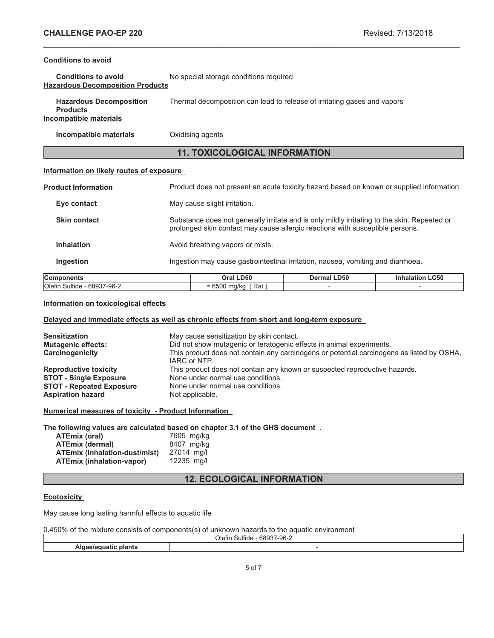## **Conditions to avoid**

| <b>Conditions to avoid</b>              | No special storage conditions required |
|-----------------------------------------|----------------------------------------|
| <b>Hazardous Decomposition Products</b> |                                        |

| <b>Hazardous Decomposition</b><br><b>Products</b> | Thermal decomposition can lead to release of irritating gases and vapors |
|---------------------------------------------------|--------------------------------------------------------------------------|
| Incompatible materials                            |                                                                          |

**Incompatible materials Oxidising agents** 

# **11. TOXICOLOGICAL INFORMATION**

\_\_\_\_\_\_\_\_\_\_\_\_\_\_\_\_\_\_\_\_\_\_\_\_\_\_\_\_\_\_\_\_\_\_\_\_\_\_\_\_\_\_\_\_\_\_\_\_\_\_\_\_\_\_\_\_\_\_\_\_\_\_\_\_\_\_\_\_\_\_\_\_\_\_\_\_\_\_\_\_\_\_\_\_\_\_\_\_\_\_\_\_\_

## **Information on likely routes of exposure**

| <b>Components</b>          |                                                                                  | Oral LD50                                                                                                                                                                     | Dermal LD50 | <b>Inhalation LC50</b> |
|----------------------------|----------------------------------------------------------------------------------|-------------------------------------------------------------------------------------------------------------------------------------------------------------------------------|-------------|------------------------|
| <b>Ingestion</b>           | Ingestion may cause gastrointestinal irritation, nausea, vomiting and diarrhoea. |                                                                                                                                                                               |             |                        |
| <b>Inhalation</b>          |                                                                                  | Avoid breathing vapors or mists.                                                                                                                                              |             |                        |
| <b>Skin contact</b>        |                                                                                  | Substance does not generally irritate and is only mildly irritating to the skin. Repeated or<br>prolonged skin contact may cause allergic reactions with susceptible persons. |             |                        |
| Eye contact                |                                                                                  | May cause slight irritation.                                                                                                                                                  |             |                        |
| <b>Product Information</b> |                                                                                  | Product does not present an acute toxicity hazard based on known or supplied information                                                                                      |             |                        |

| ∽<br><b>ICor</b><br>                                                                | <b>D50</b><br>Oral                                                      | .D50<br><b>Jermal</b> | <b>.C50</b> |
|-------------------------------------------------------------------------------------|-------------------------------------------------------------------------|-----------------------|-------------|
| <b>O</b> lefir<br>$\overline{\phantom{a}}$<br>$-96-7$<br>684.<br>sultic<br><u>_</u> | $\overline{\phantom{0}}$<br>Rat<br>17<br>- 1<br>$\overline{\mathbf{v}}$ |                       |             |
|                                                                                     |                                                                         |                       |             |

## **Information on toxicological effects**

## **Delayed and immediate effects as well as chronic effects from short and long-term exposure**

| <b>Sensitization</b><br><b>Mutagenic effects:</b><br>Carcinogenicity | May cause sensitization by skin contact.<br>Did not show mutagenic or teratogenic effects in animal experiments.<br>This product does not contain any carcinogens or potential carcinogens as listed by OSHA,<br>IARC or NTP. |
|----------------------------------------------------------------------|-------------------------------------------------------------------------------------------------------------------------------------------------------------------------------------------------------------------------------|
| <b>Reproductive toxicity</b>                                         | This product does not contain any known or suspected reproductive hazards.                                                                                                                                                    |
| <b>STOT - Single Exposure</b>                                        | None under normal use conditions.                                                                                                                                                                                             |
| <b>STOT - Repeated Exposure</b>                                      | None under normal use conditions.                                                                                                                                                                                             |
| <b>Aspiration hazard</b>                                             | Not applicable.                                                                                                                                                                                                               |

**Numerical measures of toxicity - Product Information**

**The following values are calculated based on chapter 3.1 of the GHS document** .

| <b>ATEmix (oral)</b>                 | 7605 mg/kg |
|--------------------------------------|------------|
| <b>ATEmix (dermal)</b>               | 8407 mg/kg |
| <b>ATEmix (inhalation-dust/mist)</b> | 27014 ma/l |
| <b>ATEmix (inhalation-vapor)</b>     | 12235 mg/l |

# **12. ECOLOGICAL INFORMATION**

## **Ecotoxicity**

May cause long lasting harmful effects to aquatic life

| 0.450% of the mixture consists of components(s) of unknown hazards to the aquatic environment |  |  |
|-----------------------------------------------------------------------------------------------|--|--|
|-----------------------------------------------------------------------------------------------|--|--|

| ___<br>- - -<br>~<br>$\cdots$<br>$\sim$<br>$\cdots$<br>)letii<br>,,,,,,<br>ີ<br>$\mathcal{F}$ |  |
|-----------------------------------------------------------------------------------------------|--|
|                                                                                               |  |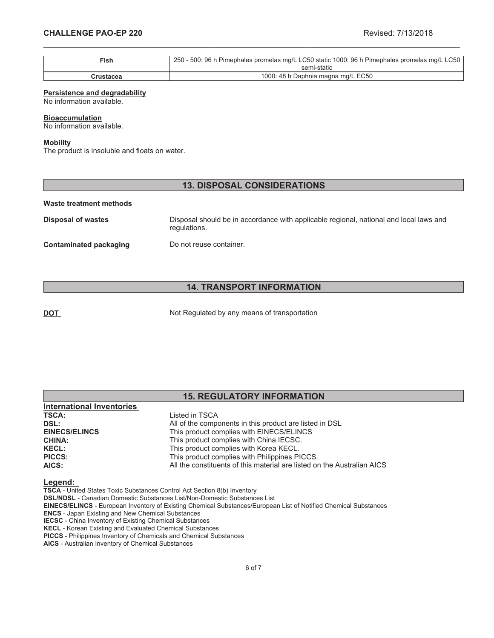| $\mathsf{Fish}$ | 250 - 500: 96 h Pimephales promelas mg/L LC50 static 1000: 96 h Pimephales promelas mg/L LC50 |
|-----------------|-----------------------------------------------------------------------------------------------|
|                 | semi-static                                                                                   |
| Crustacea       | 1000: 48 h Daphnia magna mg/L EC50                                                            |

\_\_\_\_\_\_\_\_\_\_\_\_\_\_\_\_\_\_\_\_\_\_\_\_\_\_\_\_\_\_\_\_\_\_\_\_\_\_\_\_\_\_\_\_\_\_\_\_\_\_\_\_\_\_\_\_\_\_\_\_\_\_\_\_\_\_\_\_\_\_\_\_\_\_\_\_\_\_\_\_\_\_\_\_\_\_\_\_\_\_\_\_\_

### **Persistence and degradability**

No information available.

#### **Bioaccumulation**

No information available.

### **Mobility**

The product is insoluble and floats on water.

## **13. DISPOSAL CONSIDERATIONS**

#### **Waste treatment methods**

**Disposal of wastes** Disposal should be in accordance with applicable regional, national and local laws and regulations. **Contaminated packaging Do not reuse container.** 

# **14. TRANSPORT INFORMATION**

**DOT** Not Regulated by any means of transportation

|                                  | <b>15. REGULATORY INFORMATION</b>                       |  |
|----------------------------------|---------------------------------------------------------|--|
| <b>International Inventories</b> |                                                         |  |
| <b>TSCA:</b>                     | Listed in TSCA                                          |  |
| DSL:                             | All of the components in this product are listed in DSL |  |
| <b>EINECS/ELINCS</b>             | This product complies with EINECS/ELINCS                |  |
| <b>CHINA:</b>                    | This product complies with China IECSC.                 |  |
| <b>KECL:</b>                     | This product complies with Korea KECL.                  |  |

#### **Legend:**

**TSCA** - United States Toxic Substances Control Act Section 8(b) Inventory

**DSL/NDSL** - Canadian Domestic Substances List/Non-Domestic Substances List

**PICCS:** This product complies with Philippines PICCS.

**EINECS/ELINCS** - European Inventory of Existing Chemical Substances/European List of Notified Chemical Substances

**AICS:** All the constituents of this material are listed on the Australian AICS

**ENCS** - Japan Existing and New Chemical Substances

**IECSC** - China Inventory of Existing Chemical Substances **KECL** - Korean Existing and Evaluated Chemical Substances

**PICCS** - Philippines Inventory of Chemicals and Chemical Substances

**AICS** - Australian Inventory of Chemical Substances